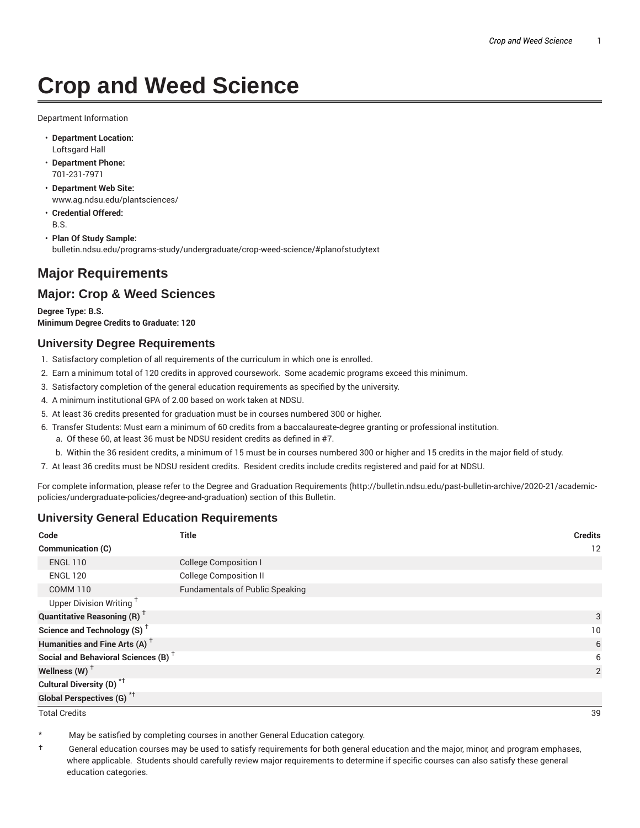# **Crop and Weed Science**

Department Information

- **Department Location:** Loftsgard Hall
- **Department Phone:** 701-231-7971
- **Department Web Site:** www.ag.ndsu.edu/plantsciences/
- **Credential Offered:** B.S.
- **Plan Of Study Sample:** bulletin.ndsu.edu/programs-study/undergraduate/crop-weed-science/#planofstudytext

# **Major Requirements**

# **Major: Crop & Weed Sciences**

**Degree Type: B.S. Minimum Degree Credits to Graduate: 120**

## **University Degree Requirements**

- 1. Satisfactory completion of all requirements of the curriculum in which one is enrolled.
- 2. Earn a minimum total of 120 credits in approved coursework. Some academic programs exceed this minimum.
- 3. Satisfactory completion of the general education requirements as specified by the university.
- 4. A minimum institutional GPA of 2.00 based on work taken at NDSU.
- 5. At least 36 credits presented for graduation must be in courses numbered 300 or higher.
- 6. Transfer Students: Must earn a minimum of 60 credits from a baccalaureate-degree granting or professional institution.
	- a. Of these 60, at least 36 must be NDSU resident credits as defined in #7.
	- b. Within the 36 resident credits, a minimum of 15 must be in courses numbered 300 or higher and 15 credits in the major field of study.
- 7. At least 36 credits must be NDSU resident credits. Resident credits include credits registered and paid for at NDSU.

For complete information, please refer to the Degree and Graduation Requirements (http://bulletin.ndsu.edu/past-bulletin-archive/2020-21/academicpolicies/undergraduate-policies/degree-and-graduation) section of this Bulletin.

# **University General Education Requirements**

| Code                                            | <b>Title</b>                           | <b>Credits</b> |
|-------------------------------------------------|----------------------------------------|----------------|
| Communication (C)                               |                                        | 12             |
| <b>ENGL 110</b>                                 | <b>College Composition I</b>           |                |
| <b>ENGL 120</b>                                 | <b>College Composition II</b>          |                |
| <b>COMM 110</b>                                 | <b>Fundamentals of Public Speaking</b> |                |
| Upper Division Writing <sup>+</sup>             |                                        |                |
| <b>Quantitative Reasoning (R)</b> <sup>†</sup>  |                                        | 3              |
| Science and Technology (S) <sup>+</sup>         |                                        | 10             |
| Humanities and Fine Arts (A) <sup>+</sup>       |                                        | 6              |
| Social and Behavioral Sciences (B) <sup>+</sup> |                                        | 6              |
| Wellness $(W)$ <sup>+</sup>                     |                                        | 2              |
| Cultural Diversity (D) <sup>*†</sup>            |                                        |                |
| <b>Global Perspectives (G)<sup>*†</sup></b>     |                                        |                |

Total Credits 39

May be satisfied by completing courses in another General Education category.

† General education courses may be used to satisfy requirements for both general education and the major, minor, and program emphases, where applicable. Students should carefully review major requirements to determine if specific courses can also satisfy these general education categories.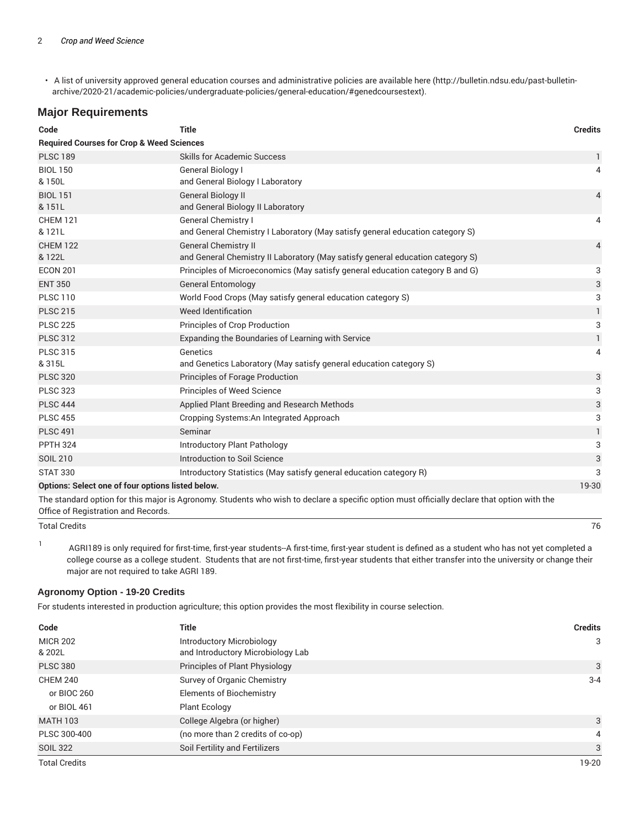• A list of university approved general education courses and administrative policies are available here (http://bulletin.ndsu.edu/past-bulletinarchive/2020-21/academic-policies/undergraduate-policies/general-education/#genedcoursestext).

## **Major Requirements**

| Code                                                       | <b>Title</b>                                                                                                                                | <b>Credits</b> |
|------------------------------------------------------------|---------------------------------------------------------------------------------------------------------------------------------------------|----------------|
| <b>Required Courses for Crop &amp; Weed Sciences</b>       |                                                                                                                                             |                |
| <b>PLSC 189</b>                                            | <b>Skills for Academic Success</b>                                                                                                          | 1              |
| <b>BIOL 150</b><br>& 150L                                  | General Biology I<br>and General Biology I Laboratory                                                                                       | 4              |
| <b>BIOL 151</b><br>& 151L                                  | <b>General Biology II</b><br>and General Biology II Laboratory                                                                              | 4              |
| <b>CHEM 121</b><br>& 121L                                  | General Chemistry I<br>and General Chemistry I Laboratory (May satisfy general education category S)                                        | 4              |
| <b>CHEM 122</b><br>& 122L                                  | <b>General Chemistry II</b><br>and General Chemistry II Laboratory (May satisfy general education category S)                               | $\overline{4}$ |
| <b>ECON 201</b>                                            | Principles of Microeconomics (May satisfy general education category B and G)                                                               | 3              |
| <b>ENT 350</b>                                             | <b>General Entomology</b>                                                                                                                   | 3              |
| <b>PLSC 110</b>                                            | World Food Crops (May satisfy general education category S)                                                                                 | 3              |
| <b>PLSC 215</b>                                            | <b>Weed Identification</b>                                                                                                                  | 1              |
| <b>PLSC 225</b>                                            | Principles of Crop Production                                                                                                               | 3              |
| <b>PLSC 312</b>                                            | Expanding the Boundaries of Learning with Service                                                                                           | $\mathbf{1}$   |
| <b>PLSC 315</b><br>& 315L                                  | Genetics<br>and Genetics Laboratory (May satisfy general education category S)                                                              | 4              |
| <b>PLSC 320</b>                                            | Principles of Forage Production                                                                                                             | 3              |
| <b>PLSC 323</b>                                            | <b>Principles of Weed Science</b>                                                                                                           | 3              |
| <b>PLSC 444</b>                                            | Applied Plant Breeding and Research Methods                                                                                                 | 3              |
| <b>PLSC 455</b>                                            | Cropping Systems: An Integrated Approach                                                                                                    | 3              |
| <b>PLSC 491</b>                                            | Seminar                                                                                                                                     | 1              |
| <b>PPTH 324</b>                                            | Introductory Plant Pathology                                                                                                                | 3              |
| <b>SOIL 210</b>                                            | Introduction to Soil Science                                                                                                                | 3              |
| <b>STAT 330</b>                                            | Introductory Statistics (May satisfy general education category R)                                                                          | 3              |
| Options: Select one of four options listed below.<br>19-30 |                                                                                                                                             |                |
|                                                            | The standard option for this major is Agronomy. Students who wish to declare a specific option must officially declare that option with the |                |

Office of Registration and Records.

Total Credits 76

1 AGRI189 is only required for first-time, first-year students--A first-time, first-year student is defined as a student who has not yet completed a college course as a college student. Students that are not first-time, first-year students that either transfer into the university or change their major are not required to take AGRI 189.

#### **Agronomy Option - 19-20 Credits**

For students interested in production agriculture; this option provides the most flexibility in course selection.

| Code                 | <b>Title</b>                      | <b>Credits</b> |
|----------------------|-----------------------------------|----------------|
| <b>MICR 202</b>      | <b>Introductory Microbiology</b>  | 3              |
| & 202L               | and Introductory Microbiology Lab |                |
| <b>PLSC 380</b>      | Principles of Plant Physiology    | 3              |
| <b>CHEM 240</b>      | Survey of Organic Chemistry       | $3 - 4$        |
| or BIOC 260          | <b>Elements of Biochemistry</b>   |                |
| or BIOL 461          | <b>Plant Ecology</b>              |                |
| <b>MATH 103</b>      | College Algebra (or higher)       | 3              |
| PLSC 300-400         | (no more than 2 credits of co-op) | 4              |
| <b>SOIL 322</b>      | Soil Fertility and Fertilizers    | 3              |
| <b>Total Credits</b> |                                   | 19-20          |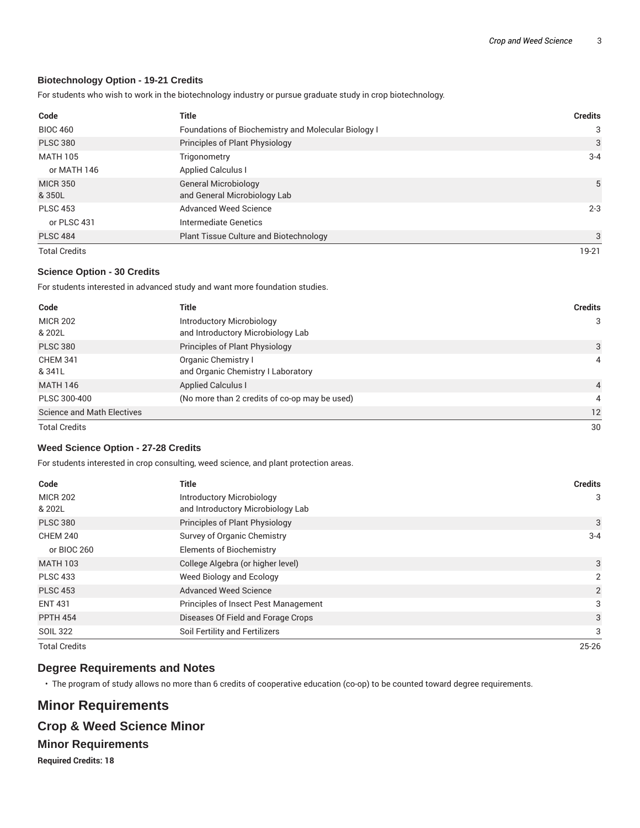#### **Biotechnology Option - 19-21 Credits**

For students who wish to work in the biotechnology industry or pursue graduate study in crop biotechnology.

| Code                      | <b>Title</b>                                                | <b>Credits</b> |
|---------------------------|-------------------------------------------------------------|----------------|
| <b>BIOC 460</b>           | Foundations of Biochemistry and Molecular Biology I         | 3              |
| <b>PLSC 380</b>           | Principles of Plant Physiology                              | 3              |
| <b>MATH 105</b>           | Trigonometry                                                | $3 - 4$        |
| or MATH 146               | <b>Applied Calculus I</b>                                   |                |
| <b>MICR 350</b><br>& 350L | <b>General Microbiology</b><br>and General Microbiology Lab | 5              |
| <b>PLSC 453</b>           | Advanced Weed Science                                       | $2 - 3$        |
| or PLSC 431               | Intermediate Genetics                                       |                |
| <b>PLSC 484</b>           | Plant Tissue Culture and Biotechnology                      | 3              |
| <b>Total Credits</b>      |                                                             | 19-21          |

#### **Science Option - 30 Credits**

For students interested in advanced study and want more foundation studies.

| Code                              | <b>Title</b>                                                          | <b>Credits</b> |
|-----------------------------------|-----------------------------------------------------------------------|----------------|
| <b>MICR 202</b><br>& 202L         | <b>Introductory Microbiology</b><br>and Introductory Microbiology Lab | 3              |
| <b>PLSC 380</b>                   | Principles of Plant Physiology                                        | 3              |
| <b>CHEM 341</b><br>& 341L         | Organic Chemistry I<br>and Organic Chemistry I Laboratory             | 4              |
| <b>MATH 146</b>                   | <b>Applied Calculus I</b>                                             | $\overline{4}$ |
| PLSC 300-400                      | (No more than 2 credits of co-op may be used)                         | 4              |
| <b>Science and Math Electives</b> |                                                                       | 12             |
| <b>Total Credits</b>              |                                                                       | 30             |

#### **Weed Science Option - 27-28 Credits**

For students interested in crop consulting, weed science, and plant protection areas.

| Code                      | <b>Title</b>                                                   | <b>Credits</b> |
|---------------------------|----------------------------------------------------------------|----------------|
| <b>MICR 202</b><br>& 202L | Introductory Microbiology<br>and Introductory Microbiology Lab | 3              |
| <b>PLSC 380</b>           | Principles of Plant Physiology                                 | 3              |
| <b>CHEM 240</b>           | Survey of Organic Chemistry                                    | $3 - 4$        |
| or BIOC 260               | <b>Elements of Biochemistry</b>                                |                |
| <b>MATH 103</b>           | College Algebra (or higher level)                              | 3              |
| <b>PLSC 433</b>           | Weed Biology and Ecology                                       | $\overline{2}$ |
| <b>PLSC 453</b>           | <b>Advanced Weed Science</b>                                   | 2              |
| <b>ENT 431</b>            | Principles of Insect Pest Management                           | 3              |
| <b>PPTH 454</b>           | Diseases Of Field and Forage Crops                             | 3              |
| <b>SOIL 322</b>           | Soil Fertility and Fertilizers                                 | 3              |
| <b>Total Credits</b>      |                                                                | $25 - 26$      |

### **Degree Requirements and Notes**

• The program of study allows no more than 6 credits of cooperative education (co-op) to be counted toward degree requirements.

# **Minor Requirements Crop & Weed Science Minor Minor Requirements Required Credits: 18**